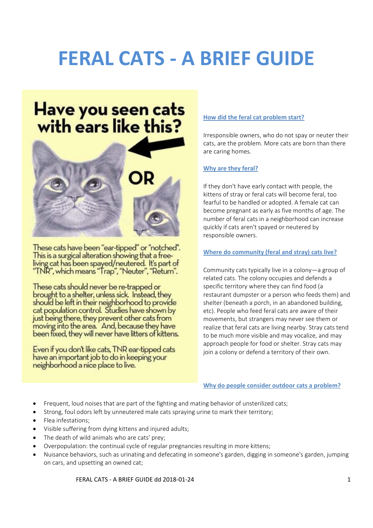## **FERAL CATS ‐ A BRIEF GUIDE**

# Have you seen cats<br>with ears like this?



These cats have been "ear-tipped" or "notched". This is a surgical alteration showing that a freeliving cat has been spayed/neutered. It's part of<br>"TNR", which means "Trap", "Neuter", "Return".

These cats should never be re-trapped or brought to a shelter, unless sick. Instead, they should be left in their neighborhood to provide cat population control. Studies have shown by just being there, they prevent other cats from moving into the area. And, because they have been fixed, they will never have litters of kittens.

Even if you don't like cats, TNR ear-tipped cats have an important job to do in keeping your neighborhood a nice place to live.

#### **How did the feral cat problem start?**

Irresponsible owners, who do not spay or neuter their cats, are the problem. More cats are born than there are caring homes.

#### **Why are they feral?**

If they don't have early contact with people, the kittens of stray or feral cats will become feral, too fearful to be handled or adopted. A female cat can become pregnant as early as five months of age. The number of feral cats in a neighborhood can increase quickly if cats aren't spayed or neutered by responsible owners.

#### **Where do community (feral and stray) cats live?**

Community cats typically live in a colony—a group of related cats. The colony occupies and defends a specific territory where they can find food (a restaurant dumpster or a person who feeds them) and shelter (beneath a porch, in an abandoned building, etc). People who feed feral cats are aware of their movements, but strangers may never see them or realize that feral cats are living nearby. Stray cats tend to be much more visible and may vocalize, and may approach people for food or shelter. Stray cats may join a colony or defend a territory of their own.

**Why do people consider outdoor cats a problem?** 

- Frequent, loud noises that are part of the fighting and mating behavior of unsterilized cats;
- Strong, foul odors left by unneutered male cats spraying urine to mark their territory;
- Flea infestations;
- Visible suffering from dying kittens and injured adults;
- The death of wild animals who are cats' prey;
- Overpopulation: the continual cycle of regular pregnancies resulting in more kittens;
- Nuisance behaviors, such as urinating and defecating in someone's garden, digging in someone's garden, jumping on cars, and upsetting an owned cat;

FERAL CATS ‐ A BRIEF GUIDE dd 2018‐01‐24 1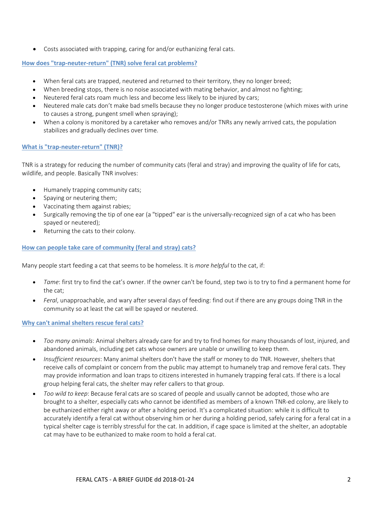Costs associated with trapping, caring for and/or euthanizing feral cats.

#### **How does "trap‐neuter‐return" (TNR) solve feral cat problems?**

- When feral cats are trapped, neutered and returned to their territory, they no longer breed;
- When breeding stops, there is no noise associated with mating behavior, and almost no fighting;
- Neutered feral cats roam much less and become less likely to be injured by cars;
- Neutered male cats don't make bad smells because they no longer produce testosterone (which mixes with urine to causes a strong, pungent smell when spraying);
- When a colony is monitored by a caretaker who removes and/or TNRs any newly arrived cats, the population stabilizes and gradually declines over time.

#### **What is "trap‐neuter‐return" (TNR)?**

TNR is a strategy for reducing the number of community cats (feral and stray) and improving the quality of life for cats, wildlife, and people. Basically TNR involves:

- Humanely trapping community cats;
- Spaying or neutering them;
- Vaccinating them against rabies;
- Surgically removing the tip of one ear (a "tipped" ear is the universally-recognized sign of a cat who has been spayed or neutered);
- Returning the cats to their colony.

#### **How can people take care of community (feral and stray) cats?**

Many people start feeding a cat that seems to be homeless. It is *more helpful* to the cat, if:

- *Tame*: first try to find the cat's owner. If the owner can't be found, step two is to try to find a permanent home for the cat;
- *Feral*, unapproachable, and wary after several days of feeding: find out if there are any groups doing TNR in the community so at least the cat will be spayed or neutered.

#### **Why can't animal shelters rescue feral cats?**

- *Too many animals*: Animal shelters already care for and try to find homes for many thousands of lost, injured, and abandoned animals, including pet cats whose owners are unable or unwilling to keep them.
- *Insufficient resources*: Many animal shelters don't have the staff or money to do TNR. However, shelters that receive calls of complaint or concern from the public may attempt to humanely trap and remove feral cats. They may provide information and loan traps to citizens interested in humanely trapping feral cats. If there is a local group helping feral cats, the shelter may refer callers to that group.
- *Too wild to keep*: Because feral cats are so scared of people and usually cannot be adopted, those who are brought to a shelter, especially cats who cannot be identified as members of a known TNR‐ed colony, are likely to be euthanized either right away or after a holding period. It's a complicated situation: while it is difficult to accurately identify a feral cat without observing him or her during a holding period, safely caring for a feral cat in a typical shelter cage is terribly stressful for the cat. In addition, if cage space is limited at the shelter, an adoptable cat may have to be euthanized to make room to hold a feral cat.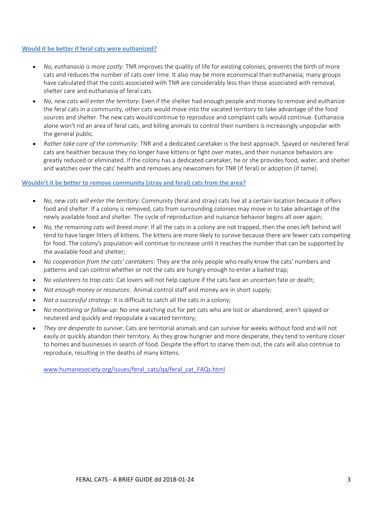#### **Would it be better if feral cats were euthanized?**

- *No, euthanasia is more costly*: TNR improves the quality of life for existing colonies, prevents the birth of more cats and reduces the number of cats over time. It also may be more economical than euthanasia; many groups have calculated that the costs associated with TNR are considerably less than those associated with removal, shelter care and euthanasia of feral cats.
- *No, new cats will enter the territory*: Even if the shelter had enough people and money to remove and euthanize the feral cats in a community, other cats would move into the vacated territory to take advantage of the food sources and shelter. The new cats would continue to reproduce and complaint calls would continue. Euthanasia alone won't rid an area of feral cats, and killing animals to control their numbers is increasingly unpopular with the general public.
- *Rather take care of the community*: TNR and a dedicated caretaker is the best approach. Spayed or neutered feral cats are healthier because they no longer have kittens or fight over mates, and their nuisance behaviors are greatly reduced or eliminated. If the colony has a dedicated caretaker, he or she provides food, water, and shelter and watches over the cats' health and removes any newcomers for TNR (if feral) or adoption (if tame).

#### **Wouldn't it be better to remove community (stray and feral) cats from the area?**

- *No, new cats will enter the territory*: Community (feral and stray) cats live at a certain location because it offers food and shelter. If a colony is removed, cats from surrounding colonies may move in to take advantage of the newly available food and shelter. The cycle of reproduction and nuisance behavior begins all over again;
- *No, the remaining cats will breed more*: If all the cats in a colony are not trapped, then the ones left behind will tend to have larger litters of kittens. The kittens are more likely to survive because there are fewer cats competing for food. The colony's population will continue to increase until it reaches the number that can be supported by the available food and shelter;
- *No cooperation from the cats' caretakers*: They are the only people who really know the cats' numbers and patterns and can control whether or not the cats are hungry enough to enter a baited trap;
- *No volunteers to trap cats*: Cat lovers will not help capture if the cats face an uncertain fate or death;
- *Not enough money or resources*: Animal control staff and money are in short supply;
- *Not a successful strategy*: It is difficult to catch all the cats in a colony;
- *No monitoring or follow‐up*: No one watching out for pet cats who are lost or abandoned, aren't spayed or neutered and quickly and repopulate a vacated territory;
- *They are desperate to survive*: Cats are territorial animals and can survive for weeks without food and will not easily or quickly abandon their territory. As they grow hungrier and more desperate, they tend to venture closer to homes and businesses in search of food. Despite the effort to starve them out, the cats will also continue to reproduce, resulting in the deaths of many kittens.

www.humanesociety.org/issues/feral\_cats/qa/feral\_cat\_FAQs.html